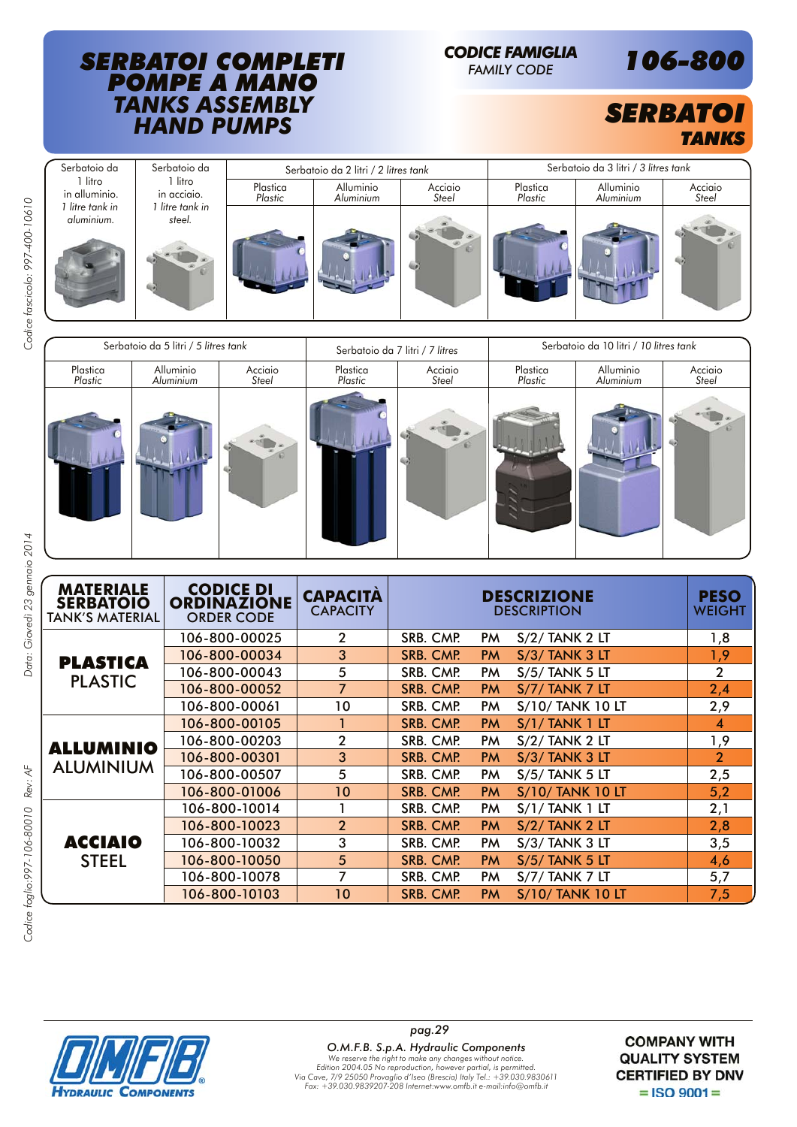### *SERBATOI COMPLETI POMPE A MANO TANKS ASSEMBLY HAND PUMPS*

# *CODICE FAMIGLIA*



*FAMILY CODE 106-800*



| Serbatoio da 5 litri / 5 litres tank |                        |                  |                     | Serbatoio da 7 litri / 7 litres | Serbatoio da 10 litri / 10 litres tank |                        |                  |
|--------------------------------------|------------------------|------------------|---------------------|---------------------------------|----------------------------------------|------------------------|------------------|
| Plastica<br>Plastic                  | Alluminio<br>Aluminium | Acciaio<br>Steel | Plastica<br>Plastic | Acciaio<br>Steel                | Plastica<br>Plastic                    | Alluminio<br>Aluminium | Acciaio<br>Steel |
|                                      |                        |                  |                     |                                 |                                        |                        |                  |

Codice fascicolo: 997-400-10610

| <b>MATERIALE</b><br><b>SERBATOIO</b><br><b>TANK'S MATERIAL</b> | <b>CODICE DI</b><br><b>ORDINAZIONE</b><br><b>ORDER CODE</b> | <b>CAPACITA</b><br><b>CAPACITY</b> | <b>DESCRIZIONE</b><br><b>DESCRIPTION</b>                 | <b>PESO</b><br><b>WEIGHT</b> |
|----------------------------------------------------------------|-------------------------------------------------------------|------------------------------------|----------------------------------------------------------|------------------------------|
|                                                                | 106-800-00025                                               | $\overline{2}$                     | SRB. CMP.<br>PM.<br>$S/2/$ TANK 2 LT                     | 1,8                          |
| <b>PLASTICA</b>                                                | 106-800-00034                                               | 3                                  | SRB. CMP.<br>S/3/TANK 3 LT<br><b>PM</b>                  | 1,9                          |
|                                                                | 106-800-00043                                               | 5                                  | SRB. CMP.<br><b>S/5/ TANK 5 LT</b><br>PM.                | $\overline{2}$               |
| <b>PLASTIC</b>                                                 | 106-800-00052                                               | $\overline{7}$                     | SRB. CMP.<br><b>PM</b><br>$S/7/$ TANK 7 LT               | 2,4                          |
|                                                                | 106-800-00061                                               | 10                                 | SRB. CMP.<br><b>S/10/ TANK 10 LT</b><br>PM.              | 2,9                          |
|                                                                | 106-800-00105                                               |                                    | $S/1/$ TANK 1 LT<br>SRB. CMP.<br><b>PM</b>               | 4                            |
| <b>ALLUMINIO</b>                                               | 106-800-00203                                               | $\overline{2}$                     | SRB. CMP.<br>PM.<br>$S/2/$ TANK 2 LT                     | 1,9                          |
|                                                                | 106-800-00301                                               | 3                                  | SRB. CMP.<br><b>PM</b><br>$S/3/$ TANK 3 LT               | $\overline{2}$               |
| <b>ALUMINIUM</b>                                               | 106-800-00507                                               | 5                                  | SRB. CMP.<br><b>S/5/ TANK 5 LT</b><br>PM.                | 2,5                          |
|                                                                | 106-800-01006                                               | 10                                 | SRB. CMP.<br><b>S/10/ TANK 10 LT</b><br><b>PM</b>        | 5,2                          |
|                                                                | 106-800-10014                                               |                                    | SRB. CMP.<br>$S/1/$ TANK 1 LT<br>PM.                     | 2,1                          |
|                                                                | 106-800-10023                                               | $\overline{2}$                     | <b>SRB. CMP.</b><br>$S/2/$ TANK 2 LT<br><b>PM</b>        | 2,8                          |
| <b>ACCIAIO</b>                                                 | 106-800-10032                                               | 3                                  | SRB. CMP.<br>$S/3/$ TANK 3 LT<br>PM.                     | 3,5                          |
| <b>STEEL</b>                                                   | 106-800-10050                                               | 5                                  | SRB. CMP.<br>$S/5/$ TANK 5 LT<br><b>PM</b>               | 4,6                          |
|                                                                | 106-800-10078                                               | $\overline{7}$                     | SRB. CMP.<br>PM.<br>$S/7/$ TANK 7 LT                     | 5,7                          |
|                                                                | 106-800-10103                                               | 10                                 | <b>SRB. CMP.</b><br><b>S/10/ TANK 10 LT</b><br><b>PM</b> | 7,5                          |



**COMPANY WITH QUALITY SYSTEM CERTIFIED BY DNV**  $=$  ISO 9001 $=$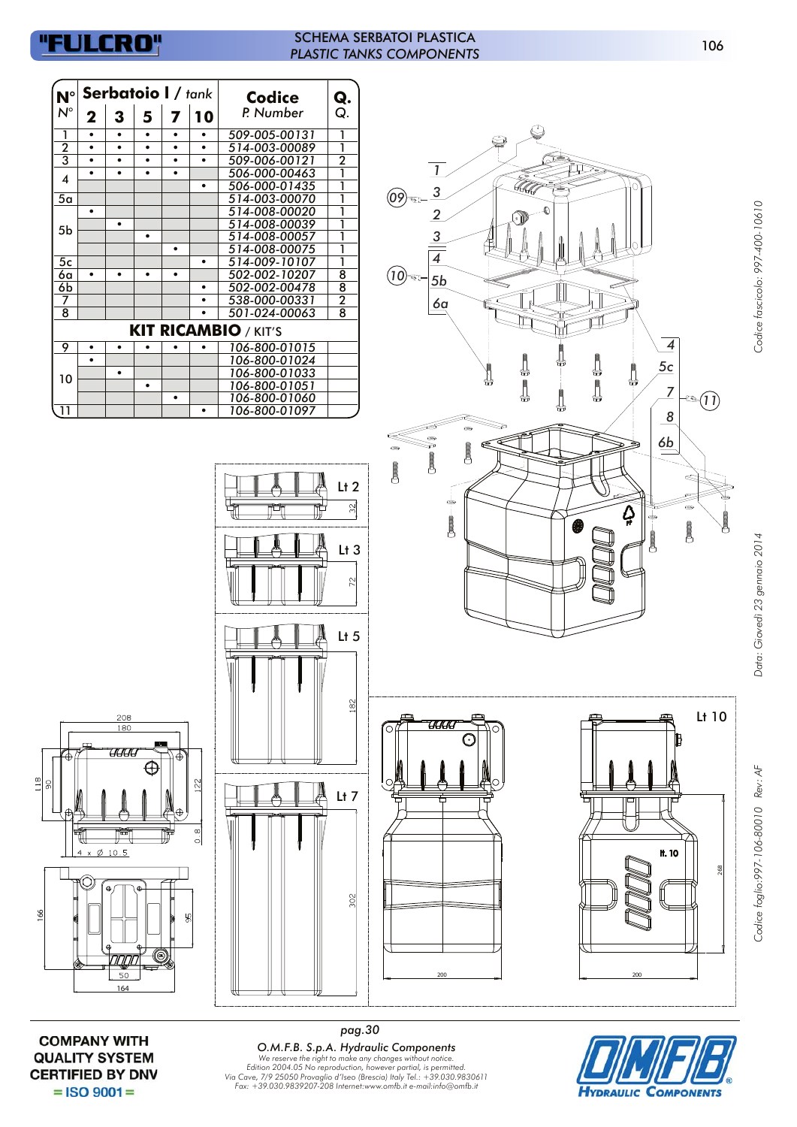## "FULCRO"

#### SCHEMA SERBATOI PLASTICA *PLASTIC TANKS COMPONENTS*

| $N^{\circ}$        |                           |                         | Serbatoio I / tank |                         |                        | <b>Codice</b>                  | Q.                                                       |                                                                                                  |
|--------------------|---------------------------|-------------------------|--------------------|-------------------------|------------------------|--------------------------------|----------------------------------------------------------|--------------------------------------------------------------------------------------------------|
| $\mathsf{N}^\circ$ | $\boldsymbol{2}$          | $\mathbf{3}$            | 5                  | $\overline{\mathbf{z}}$ | 10                     | P. Number                      | Q.                                                       |                                                                                                  |
| 1                  | $\bullet$                 | $\bullet$               | $\bullet$          | $\bullet$               | $\bullet$              | 509-005-00131                  | $\mathbf{1}$                                             |                                                                                                  |
| 2                  | $\bullet$                 | $\bullet$               | $\bullet$          | $\bullet$               | $\bullet$              | 514-003-00089                  | 1                                                        | ❤                                                                                                |
| 3                  | $\bullet$                 | $\bullet$               | $\bullet$          | $\bullet$               | $\bullet$              | 509-006-00121                  | $\overline{2}$                                           |                                                                                                  |
| 4                  | $\bullet$                 | $\bullet$               | $\bullet$          | $\bullet$               |                        | 506-000-00463                  | 1                                                        | $\mathbf{1}$                                                                                     |
|                    |                           |                         |                    |                         | $\bullet$              | 506-000-01435                  | 1                                                        | T<br>$\overline{3}$                                                                              |
| 5a                 | $\bullet$                 |                         |                    |                         |                        | 514-003-00070<br>514-008-00020 | 1<br>1                                                   | $\left($ 09 $\right)$                                                                            |
|                    |                           | $\bullet$               |                    |                         |                        | 514-008-00039                  | 1                                                        | $\overline{2}$<br>ŀ۱                                                                             |
| 5 <sub>b</sub>     |                           |                         | $\bullet$          |                         |                        | 514-008-00057                  | 1                                                        | $\overline{3}$                                                                                   |
|                    |                           |                         |                    | $\bullet$               |                        | 514-008-00075                  | 1                                                        |                                                                                                  |
| 5c                 |                           |                         |                    |                         | $\bullet$              | 514-009-10107                  | 1                                                        | $\overline{4}$                                                                                   |
| 6a                 | $\bullet$                 | $\bullet$               | $\bullet$          | $\bullet$               |                        | 502-002-10207                  | $\overline{8}$                                           | (10)<br>☜<br>5b                                                                                  |
| 6b<br>7            |                           |                         |                    |                         | $\bullet$<br>$\bullet$ | 502-002-00478<br>538-000-00331 | $\overline{8}$<br>$\overline{2}$                         |                                                                                                  |
| 8                  |                           |                         |                    |                         | $\bullet$              | 501-024-00063                  | $\overline{8}$                                           | 6a                                                                                               |
|                    |                           |                         |                    |                         |                        |                                |                                                          |                                                                                                  |
|                    |                           |                         |                    |                         |                        | <b>KIT RICAMBIO / KIT'S</b>    |                                                          |                                                                                                  |
| 9                  | $\bullet$                 | $\bullet$               | $\bullet$          | $\bullet$               | $\bullet$              | 106-800-01015                  |                                                          | $\overline{\mathcal{A}}$                                                                         |
|                    | $\bullet$                 | $\bullet$               |                    |                         |                        | 106-800-01024<br>106-800-01033 |                                                          | 5c                                                                                               |
| 10                 |                           |                         | $\bullet$          |                         |                        | 106-800-01051                  |                                                          | $\bigoplus$<br>♦<br>₩                                                                            |
|                    |                           |                         |                    | $\bullet$               |                        | 106-800-01060                  |                                                          | \$<br>\$<br>$\overline{Z}$<br><sup>નજી</sup> ⊵(11ે                                               |
| $\overline{11}$    |                           |                         |                    |                         | $\bullet$              | 106-800-01097                  |                                                          | ₩<br>$\frac{8}{\sqrt{2}}$                                                                        |
|                    |                           |                         |                    |                         |                        | ť<br>U.<br>III.                | $\overline{\mathbb{R}}$<br>$Lt$ 3<br>$\approx$<br>$Lt$ 5 | ⊜<br>$\circledcirc$<br>$\Delta$<br>$\overline{\phantom{a}}$<br>❸<br>$\overline{\mathbf{C}}$<br>Ō |
| ⊕                  |                           | 208<br>180<br>'UUU<br>置 | ⊕                  | Ф<br>Φ                  | 122<br>$\infty$        |                                | 182<br>$Lt$ 7                                            | Lt 10<br>UUU<br>( )<br>Ŧ.<br>О<br>▭<br>┍                                                         |
|                    | $4 \times \emptyset$ 10.5 | Φ<br>חמות               | $\uparrow$<br>0    | Ì<br>မ္တ                | $\overline{\circ}$     |                                | 302                                                      | <b>H.10</b><br>268                                                                               |

**COMPANY WITH QUALITY SYSTEM CERTIFIED BY DNV**  $=$  ISO 9001 $=$ 

*pag.30* **O.M.F.B. S.p.A. Hydraulic Components**<br>We reserve the right to make any changes without notice.<br>Edition 2004.05 No reproduction, however partial, is permitted.<br>Via Cave, 7/9 25050 Provaglio d'Iseo (Brescia) Italy Tel.: +3

**HYDRAULIC COMPONENTS** 

106

Codice foglio:997-106-80010 Rev: AF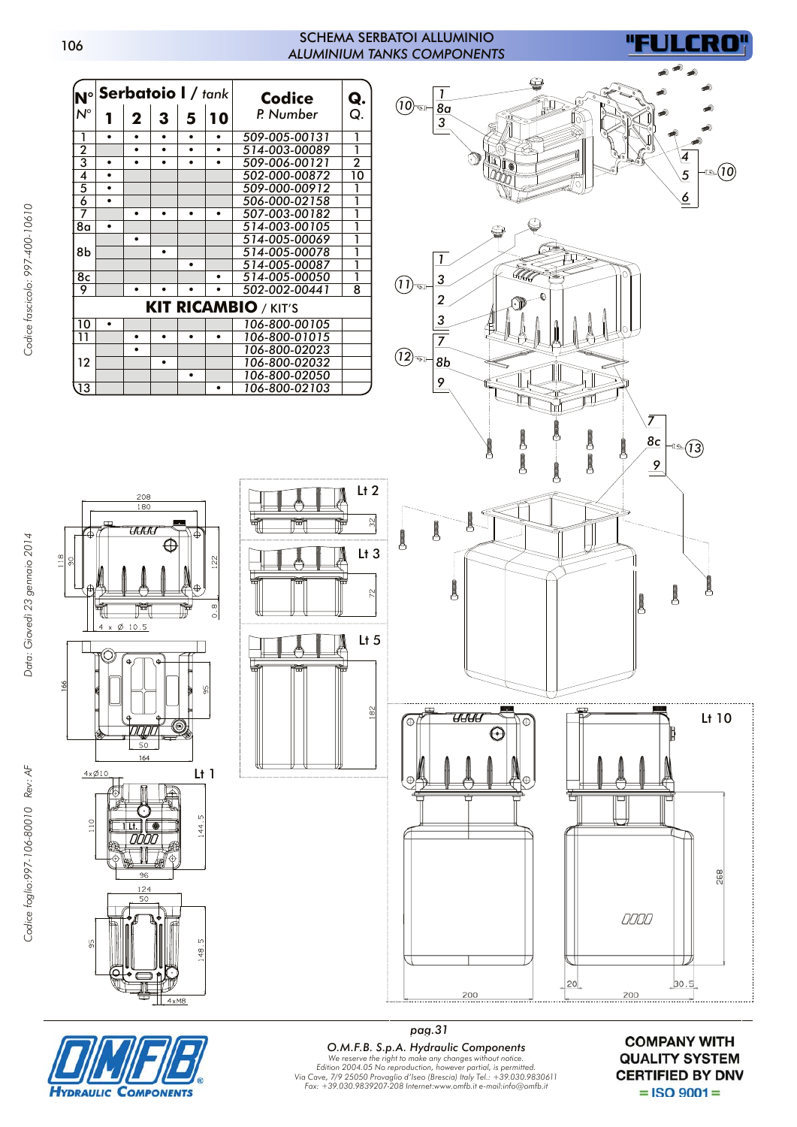#### SCHEMA SERBATOI ALLUMINIO *ALUMINIUM TANKS COMPONENTS*

 $L<sub>t</sub>$  2

 $L<sub>t</sub>$  3

 $\overline{z}$ 

 $\approx$ 

Lt<sub>5</sub>

 $\approx$ 

FULCRO



Lt 1

144.5

s

 $\frac{8}{0}$ 

164

 $50$ 

208  $\frac{1}{180}$ 

ण्ण

 $10.5$  $\sigma$ 

μ.

 $4x\emptyset10$ 

 $\frac{1}{2}$ 

**YDRAULIC** 







**COMPONENTS** 

*pag.31 O.M.F.B. S.p.A. Hydraulic Components* We reserve the right to make any changes without notice.<br>Edition 2004.05 No reproduction, however partial, is permitted.<br>Via Cave, 7/9 25050 Provaglio d'Iseo (Brescia) Italy Tel.: +39.030.9830611<br>Fax: +39.030.9839207-208 I

**COMPANY WITH QUALITY SYSTEM CERTIFIED BY DNV**  $=$  ISO 9001 $=$ 

106

166

 $\frac{8}{18}$